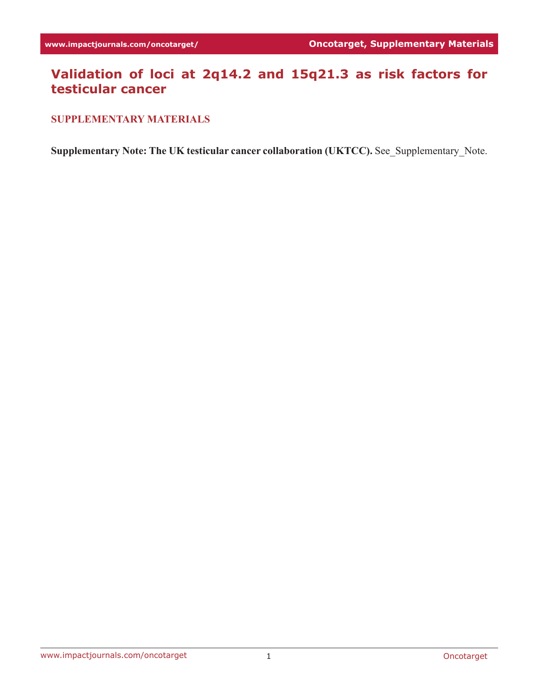# **Validation of loci at 2q14.2 and 15q21.3 as risk factors for testicular cancer**

#### **SUPPLEMENTARY MATERIALS**

**Supplementary Note: The UK testicular cancer collaboration (UKTCC).** See\_Supplementary\_Note.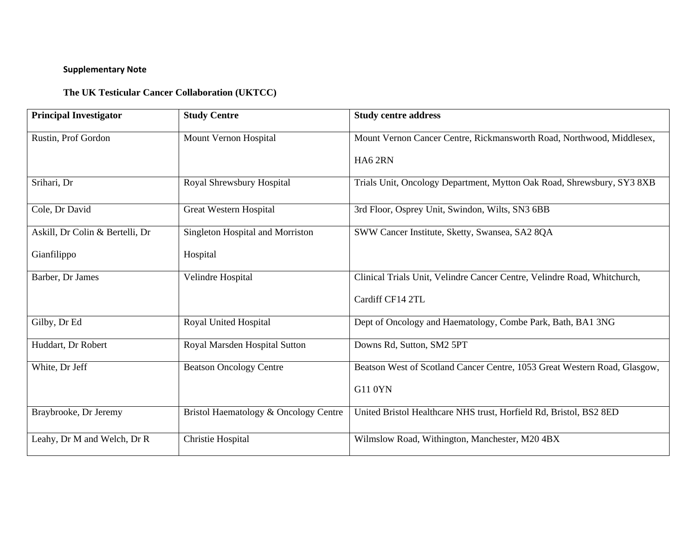## **Supplementary Note**

### **The UK Testicular Cancer Collaboration (UKTCC)**

| <b>Principal Investigator</b>   | <b>Study Centre</b>                   | <b>Study centre address</b>                                               |
|---------------------------------|---------------------------------------|---------------------------------------------------------------------------|
| Rustin, Prof Gordon             | Mount Vernon Hospital                 | Mount Vernon Cancer Centre, Rickmansworth Road, Northwood, Middlesex,     |
|                                 |                                       | HA62RN                                                                    |
| Srihari, Dr                     | Royal Shrewsbury Hospital             | Trials Unit, Oncology Department, Mytton Oak Road, Shrewsbury, SY3 8XB    |
| Cole, Dr David                  | Great Western Hospital                | 3rd Floor, Osprey Unit, Swindon, Wilts, SN3 6BB                           |
| Askill, Dr Colin & Bertelli, Dr | Singleton Hospital and Morriston      | SWW Cancer Institute, Sketty, Swansea, SA2 8QA                            |
| Gianfilippo                     | Hospital                              |                                                                           |
| Barber, Dr James                | Velindre Hospital                     | Clinical Trials Unit, Velindre Cancer Centre, Velindre Road, Whitchurch,  |
|                                 |                                       | Cardiff CF14 2TL                                                          |
| Gilby, Dr Ed                    | Royal United Hospital                 | Dept of Oncology and Haematology, Combe Park, Bath, BA1 3NG               |
| Huddart, Dr Robert              | Royal Marsden Hospital Sutton         | Downs Rd, Sutton, SM2 5PT                                                 |
| White, Dr Jeff                  | <b>Beatson Oncology Centre</b>        | Beatson West of Scotland Cancer Centre, 1053 Great Western Road, Glasgow, |
|                                 |                                       | <b>G11 0YN</b>                                                            |
| Braybrooke, Dr Jeremy           | Bristol Haematology & Oncology Centre | United Bristol Healthcare NHS trust, Horfield Rd, Bristol, BS2 8ED        |
| Leahy, Dr M and Welch, Dr R     | Christie Hospital                     | Wilmslow Road, Withington, Manchester, M20 4BX                            |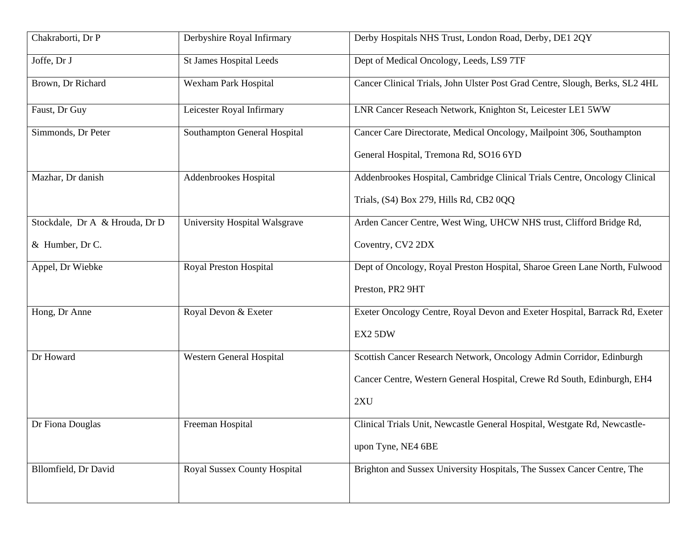| Derbyshire Royal Infirmary     | Derby Hospitals NHS Trust, London Road, Derby, DE1 2QY                       |
|--------------------------------|------------------------------------------------------------------------------|
| <b>St James Hospital Leeds</b> | Dept of Medical Oncology, Leeds, LS9 7TF                                     |
| Wexham Park Hospital           | Cancer Clinical Trials, John Ulster Post Grad Centre, Slough, Berks, SL2 4HL |
| Leicester Royal Infirmary      | LNR Cancer Reseach Network, Knighton St, Leicester LE1 5WW                   |
| Southampton General Hospital   | Cancer Care Directorate, Medical Oncology, Mailpoint 306, Southampton        |
|                                | General Hospital, Tremona Rd, SO16 6YD                                       |
| Addenbrookes Hospital          | Addenbrookes Hospital, Cambridge Clinical Trials Centre, Oncology Clinical   |
|                                | Trials, (S4) Box 279, Hills Rd, CB2 0QQ                                      |
| University Hospital Walsgrave  | Arden Cancer Centre, West Wing, UHCW NHS trust, Clifford Bridge Rd,          |
|                                | Coventry, CV2 2DX                                                            |
| Royal Preston Hospital         | Dept of Oncology, Royal Preston Hospital, Sharoe Green Lane North, Fulwood   |
|                                | Preston, PR2 9HT                                                             |
| Royal Devon & Exeter           | Exeter Oncology Centre, Royal Devon and Exeter Hospital, Barrack Rd, Exeter  |
|                                | EX2 5DW                                                                      |
| Western General Hospital       | Scottish Cancer Research Network, Oncology Admin Corridor, Edinburgh         |
|                                | Cancer Centre, Western General Hospital, Crewe Rd South, Edinburgh, EH4      |
|                                | 2XU                                                                          |
| Freeman Hospital               | Clinical Trials Unit, Newcastle General Hospital, Westgate Rd, Newcastle-    |
|                                | upon Tyne, NE4 6BE                                                           |
| Royal Sussex County Hospital   | Brighton and Sussex University Hospitals, The Sussex Cancer Centre, The      |
|                                |                                                                              |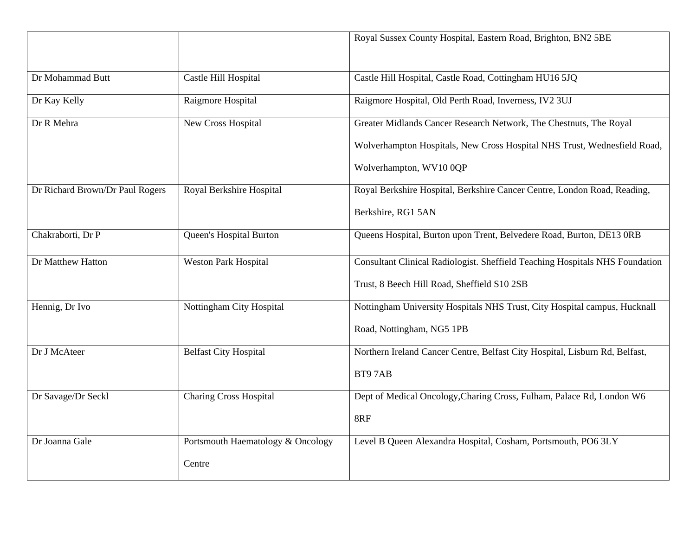|                                 |                                   | Royal Sussex County Hospital, Eastern Road, Brighton, BN2 5BE                |
|---------------------------------|-----------------------------------|------------------------------------------------------------------------------|
| Dr Mohammad Butt                | Castle Hill Hospital              | Castle Hill Hospital, Castle Road, Cottingham HU16 5JQ                       |
| Dr Kay Kelly                    | Raigmore Hospital                 | Raigmore Hospital, Old Perth Road, Inverness, IV2 3UJ                        |
| Dr R Mehra                      | New Cross Hospital                | Greater Midlands Cancer Research Network, The Chestnuts, The Royal           |
|                                 |                                   | Wolverhampton Hospitals, New Cross Hospital NHS Trust, Wednesfield Road,     |
|                                 |                                   | Wolverhampton, WV10 0QP                                                      |
| Dr Richard Brown/Dr Paul Rogers | Royal Berkshire Hospital          | Royal Berkshire Hospital, Berkshire Cancer Centre, London Road, Reading,     |
|                                 |                                   | Berkshire, RG1 5AN                                                           |
| Chakraborti, Dr P               | Queen's Hospital Burton           | Queens Hospital, Burton upon Trent, Belvedere Road, Burton, DE13 0RB         |
| Dr Matthew Hatton               | <b>Weston Park Hospital</b>       | Consultant Clinical Radiologist. Sheffield Teaching Hospitals NHS Foundation |
|                                 |                                   | Trust, 8 Beech Hill Road, Sheffield S10 2SB                                  |
| Hennig, Dr Ivo                  | Nottingham City Hospital          | Nottingham University Hospitals NHS Trust, City Hospital campus, Hucknall    |
|                                 |                                   | Road, Nottingham, NG5 1PB                                                    |
| Dr J McAteer                    | <b>Belfast City Hospital</b>      | Northern Ireland Cancer Centre, Belfast City Hospital, Lisburn Rd, Belfast,  |
|                                 |                                   | BT97AB                                                                       |
| Dr Savage/Dr Seckl              | <b>Charing Cross Hospital</b>     | Dept of Medical Oncology, Charing Cross, Fulham, Palace Rd, London W6        |
|                                 |                                   | 8RF                                                                          |
| Dr Joanna Gale                  | Portsmouth Haematology & Oncology | Level B Queen Alexandra Hospital, Cosham, Portsmouth, PO6 3LY                |
|                                 | Centre                            |                                                                              |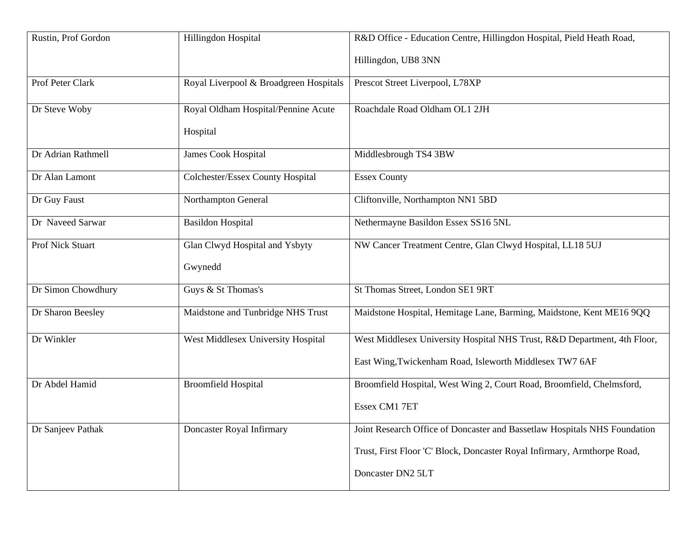| Rustin, Prof Gordon     | Hillingdon Hospital                    | R&D Office - Education Centre, Hillingdon Hospital, Pield Heath Road,     |
|-------------------------|----------------------------------------|---------------------------------------------------------------------------|
|                         |                                        | Hillingdon, UB8 3NN                                                       |
| Prof Peter Clark        | Royal Liverpool & Broadgreen Hospitals | Prescot Street Liverpool, L78XP                                           |
| Dr Steve Woby           | Royal Oldham Hospital/Pennine Acute    | Roachdale Road Oldham OL1 2JH                                             |
|                         | Hospital                               |                                                                           |
| Dr Adrian Rathmell      | <b>James Cook Hospital</b>             | Middlesbrough TS4 3BW                                                     |
| Dr Alan Lamont          | Colchester/Essex County Hospital       | <b>Essex County</b>                                                       |
| Dr Guy Faust            | Northampton General                    | Cliftonville, Northampton NN1 5BD                                         |
| Dr Naveed Sarwar        | <b>Basildon Hospital</b>               | Nethermayne Basildon Essex SS16 5NL                                       |
| <b>Prof Nick Stuart</b> | Glan Clwyd Hospital and Ysbyty         | NW Cancer Treatment Centre, Glan Clwyd Hospital, LL18 5UJ                 |
|                         | Gwynedd                                |                                                                           |
| Dr Simon Chowdhury      | Guys & St Thomas's                     | St Thomas Street, London SE1 9RT                                          |
| Dr Sharon Beesley       | Maidstone and Tunbridge NHS Trust      | Maidstone Hospital, Hemitage Lane, Barming, Maidstone, Kent ME16 9QQ      |
| Dr Winkler              | West Middlesex University Hospital     | West Middlesex University Hospital NHS Trust, R&D Department, 4th Floor,  |
|                         |                                        | East Wing, Twickenham Road, Isleworth Middlesex TW7 6AF                   |
| Dr Abdel Hamid          | <b>Broomfield Hospital</b>             | Broomfield Hospital, West Wing 2, Court Road, Broomfield, Chelmsford,     |
|                         |                                        | Essex CM1 7ET                                                             |
| Dr Sanjeev Pathak       | Doncaster Royal Infirmary              | Joint Research Office of Doncaster and Bassetlaw Hospitals NHS Foundation |
|                         |                                        | Trust, First Floor 'C' Block, Doncaster Royal Infirmary, Armthorpe Road,  |
|                         |                                        | Doncaster DN2 5LT                                                         |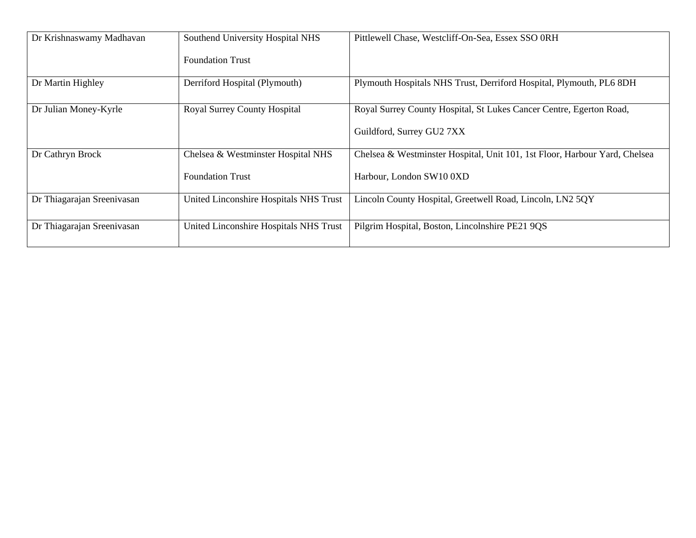| Dr Krishnaswamy Madhavan   | Southend University Hospital NHS       | Pittlewell Chase, Westcliff-On-Sea, Essex SSO 0RH                          |
|----------------------------|----------------------------------------|----------------------------------------------------------------------------|
|                            | <b>Foundation Trust</b>                |                                                                            |
| Dr Martin Highley          | Derriford Hospital (Plymouth)          | Plymouth Hospitals NHS Trust, Derriford Hospital, Plymouth, PL6 8DH        |
| Dr Julian Money-Kyrle      | Royal Surrey County Hospital           | Royal Surrey County Hospital, St Lukes Cancer Centre, Egerton Road,        |
|                            |                                        | Guildford, Surrey GU2 7XX                                                  |
| Dr Cathryn Brock           | Chelsea & Westminster Hospital NHS     | Chelsea & Westminster Hospital, Unit 101, 1st Floor, Harbour Yard, Chelsea |
|                            | <b>Foundation Trust</b>                | Harbour, London SW10 0XD                                                   |
| Dr Thiagarajan Sreenivasan | United Linconshire Hospitals NHS Trust | Lincoln County Hospital, Greetwell Road, Lincoln, LN2 5QY                  |
| Dr Thiagarajan Sreenivasan | United Linconshire Hospitals NHS Trust | Pilgrim Hospital, Boston, Lincolnshire PE21 9QS                            |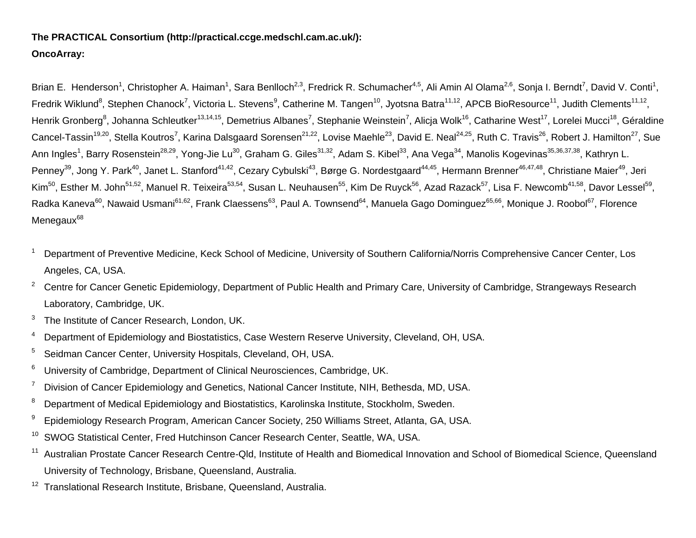## **The PRACTICAL Consortium (http://practical.ccge.medschl.cam.ac.uk/): OncoArray:**

Brian E. Henderson<sup>1</sup>, Christopher A. Haiman<sup>1</sup>, Sara Benlloch<sup>2,3</sup>, Fredrick R. Schumacher<sup>4,5</sup>, Ali Amin Al Olama<sup>2,6</sup>, Sonja I. Berndt<sup>7</sup>, David V. Conti<sup>1</sup>, Fredrik Wiklund<sup>8</sup>, Stephen Chanock<sup>7</sup>, Victoria L. Stevens<sup>9</sup>, Catherine M. Tangen<sup>10</sup>, Jyotsna Batra<sup>11,12</sup>, APCB BioResource<sup>11</sup>, Judith Clements<sup>11,12</sup>, Henrik Gronberg<sup>8</sup>, Johanna Schleutker<sup>13,14,15</sup>, Demetrius Albanes<sup>7</sup>, Stephanie Weinstein<sup>7</sup>, Alicja Wolk<sup>16</sup>, Catharine West<sup>17</sup>, Lorelei Mucci<sup>18</sup>, Géraldine Cancel-Tassin<sup>19,20</sup>, Stella Koutros<sup>7</sup>, Karina Dalsgaard Sorensen<sup>21,22</sup>, Lovise Maehle<sup>23</sup>, David E. Neal<sup>24,25</sup>, Ruth C. Travis<sup>26</sup>, Robert J. Hamilton<sup>27</sup>, Sue Ann Ingles<sup>1</sup>, Barry Rosenstein<sup>28,29</sup>, Yong-Jie Lu<sup>30</sup>, Graham G. Giles<sup>31,32</sup>, Adam S. Kibel<sup>33</sup>, Ana Vega<sup>34</sup>, Manolis Kogevinas<sup>35,36,37,38</sup>, Kathryn L. Penney<sup>39</sup>, Jong Y. Park<sup>40</sup>, Janet L. Stanford<sup>41,42</sup>, Cezary Cybulski<sup>43</sup>, Børge G. Nordestgaard<sup>44,45</sup>, Hermann Brenner<sup>46,47,48</sup>, Christiane Maier<sup>49</sup>, Jeri Kim<sup>50</sup>, Esther M. John<sup>51,52</sup>, Manuel R. Teixeira<sup>53,54</sup>, Susan L. Neuhausen<sup>55</sup>, Kim De Ruyck<sup>56</sup>, Azad Razack<sup>57</sup>, Lisa F. Newcomb<sup>41,58</sup>, Davor Lessel<sup>59</sup>, Radka Kaneva<sup>60</sup>, Nawaid Usmani<sup>61,62</sup>, Frank Claessens<sup>63</sup>, Paul A. Townsend<sup>64</sup>, Manuela Gago Dominguez<sup>65,66</sup>, Monique J. Roobol<sup>67</sup>, Florence Menegaux<sup>68</sup>

- <sup>1</sup> Department of Preventive Medicine, Keck School of Medicine, University of Southern California/Norris Comprehensive Cancer Center, Los Angeles, CA, USA.
- <sup>2</sup> Centre for Cancer Genetic Epidemiology, Department of Public Health and Primary Care, University of Cambridge, Strangeways Research Laboratory, Cambridge, UK.
- <sup>3</sup> The Institute of Cancer Research, London, UK.
- <sup>4</sup> Department of Epidemiology and Biostatistics, Case Western Reserve University, Cleveland, OH, USA.
- <sup>5</sup> Seidman Cancer Center, University Hospitals, Cleveland, OH, USA.
- <sup>6</sup> University of Cambridge, Department of Clinical Neurosciences, Cambridge, UK.
- $7$  Division of Cancer Epidemiology and Genetics, National Cancer Institute, NIH, Bethesda, MD, USA.
- <sup>8</sup> Department of Medical Epidemiology and Biostatistics, Karolinska Institute, Stockholm, Sweden.
- <sup>9</sup> Epidemiology Research Program, American Cancer Society, 250 Williams Street, Atlanta, GA, USA.
- <sup>10</sup> SWOG Statistical Center, Fred Hutchinson Cancer Research Center, Seattle, WA, USA,
- <sup>11</sup> Australian Prostate Cancer Research Centre-Qld, Institute of Health and Biomedical Innovation and School of Biomedical Science, Queensland University of Technology, Brisbane, Queensland, Australia.
- <sup>12</sup> Translational Research Institute, Brisbane, Queensland, Australia.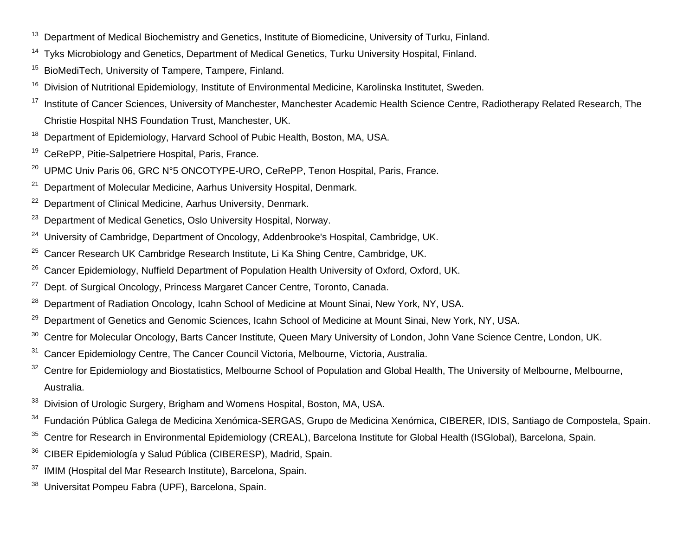- <sup>13</sup> Department of Medical Biochemistry and Genetics, Institute of Biomedicine, University of Turku, Finland.
- <sup>14</sup> Tyks Microbiology and Genetics, Department of Medical Genetics, Turku University Hospital, Finland.
- <sup>15</sup> BioMediTech, University of Tampere, Tampere, Finland.
- <sup>16</sup> Division of Nutritional Epidemiology, Institute of Environmental Medicine, Karolinska Institutet, Sweden.
- <sup>17</sup> Institute of Cancer Sciences, University of Manchester, Manchester Academic Health Science Centre, Radiotherapy Related Research, The Christie Hospital NHS Foundation Trust, Manchester, UK.
- <sup>18</sup> Department of Epidemiology, Harvard School of Pubic Health, Boston, MA, USA.
- <sup>19</sup> CeRePP, Pitie-Salpetriere Hospital, Paris, France.
- <sup>20</sup> UPMC Univ Paris 06, GRC N°5 ONCOTYPE-URO, CeRePP, Tenon Hospital, Paris, France.
- $21$  Department of Molecular Medicine, Aarhus University Hospital, Denmark.
- <sup>22</sup> Department of Clinical Medicine, Aarhus University, Denmark.
- <sup>23</sup> Department of Medical Genetics, Oslo University Hospital, Norway.
- <sup>24</sup> University of Cambridge, Department of Oncology, Addenbrooke's Hospital, Cambridge, UK.
- <sup>25</sup> Cancer Research UK Cambridge Research Institute, Li Ka Shing Centre, Cambridge, UK.
- <sup>26</sup> Cancer Epidemiology, Nuffield Department of Population Health University of Oxford, Oxford, UK.
- <sup>27</sup> Dept. of Surgical Oncology, Princess Margaret Cancer Centre, Toronto, Canada.
- <sup>28</sup> Department of Radiation Oncology, Icahn School of Medicine at Mount Sinai, New York, NY, USA.
- <sup>29</sup> Department of Genetics and Genomic Sciences, Icahn School of Medicine at Mount Sinai, New York, NY, USA.
- <sup>30</sup> Centre for Molecular Oncology, Barts Cancer Institute, Queen Mary University of London, John Vane Science Centre, London, UK.
- <sup>31</sup> Cancer Epidemiology Centre, The Cancer Council Victoria, Melbourne, Victoria, Australia.
- <sup>32</sup> Centre for Epidemiology and Biostatistics, Melbourne School of Population and Global Health, The University of Melbourne, Melbourne, Australia.
- <sup>33</sup> Division of Urologic Surgery, Brigham and Womens Hospital, Boston, MA. USA.
- <sup>34</sup> Fundación Pública Galega de Medicina Xenómica-SERGAS, Grupo de Medicina Xenómica, CIBERER, IDIS, Santiago de Compostela, Spain.
- <sup>35</sup> Centre for Research in Environmental Epidemiology (CREAL), Barcelona Institute for Global Health (ISGlobal), Barcelona, Spain.
- <sup>36</sup> CIBER Epidemiología y Salud Pública (CIBERESP), Madrid, Spain.
- <sup>37</sup> IMIM (Hospital del Mar Research Institute), Barcelona, Spain.
- Universitat Pompeu Fabra (UPF), Barcelona, Spain.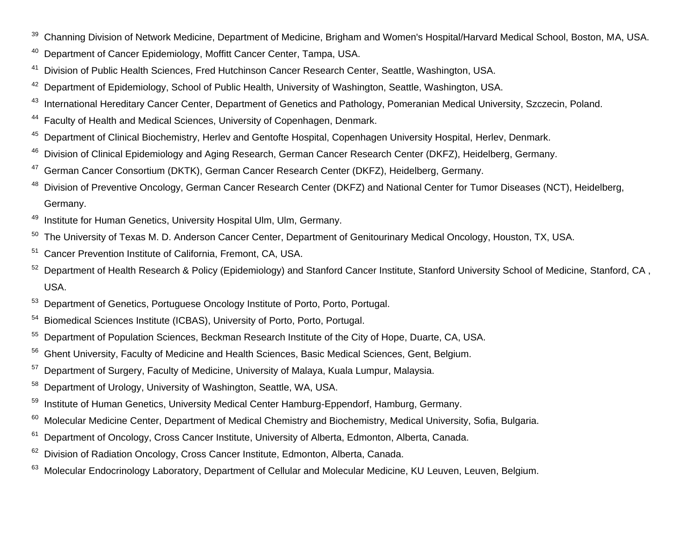- <sup>39</sup> Channing Division of Network Medicine, Department of Medicine, Brigham and Women's Hospital/Harvard Medical School, Boston, MA, USA.
- <sup>40</sup> Department of Cancer Epidemiology, Moffitt Cancer Center, Tampa, USA.
- <sup>41</sup> Division of Public Health Sciences, Fred Hutchinson Cancer Research Center, Seattle, Washington, USA.
- <sup>42</sup> Department of Epidemiology, School of Public Health, University of Washington, Seattle, Washington, USA.
- <sup>43</sup> International Hereditary Cancer Center, Department of Genetics and Pathology, Pomeranian Medical University, Szczecin, Poland.
- <sup>44</sup> Faculty of Health and Medical Sciences, University of Copenhagen, Denmark.
- <sup>45</sup> Department of Clinical Biochemistry, Herley and Gentofte Hospital, Copenhagen University Hospital, Herley, Denmark.
- <sup>46</sup> Division of Clinical Epidemiology and Aging Research, German Cancer Research Center (DKFZ), Heidelberg, Germany.
- <sup>47</sup> German Cancer Consortium (DKTK), German Cancer Research Center (DKFZ), Heidelberg, Germany.
- <sup>48</sup> Division of Preventive Oncology, German Cancer Research Center (DKFZ) and National Center for Tumor Diseases (NCT), Heidelberg, Germany.
- <sup>49</sup> Institute for Human Genetics, University Hospital Ulm, Ulm, Germany.
- <sup>50</sup> The University of Texas M. D. Anderson Cancer Center, Department of Genitourinary Medical Oncology, Houston, TX, USA.
- <sup>51</sup> Cancer Prevention Institute of California, Fremont, CA, USA.
- 52 Department of Health Research & Policy (Epidemiology) and Stanford Cancer Institute, Stanford University School of Medicine, Stanford, CA, USA.
- <sup>53</sup> Department of Genetics, Portuguese Oncology Institute of Porto, Porto, Portugal.
- <sup>54</sup> Biomedical Sciences Institute (ICBAS), University of Porto, Porto, Portugal.
- <sup>55</sup> Department of Population Sciences, Beckman Research Institute of the City of Hope, Duarte, CA, USA.
- <sup>56</sup> Ghent University, Faculty of Medicine and Health Sciences, Basic Medical Sciences, Gent, Belgium.
- <sup>57</sup> Department of Surgery, Faculty of Medicine, University of Malaya, Kuala Lumpur, Malaysia.
- 58 Department of Urology, University of Washington, Seattle, WA, USA.
- <sup>59</sup> Institute of Human Genetics, University Medical Center Hamburg-Eppendorf, Hamburg, Germany.
- <sup>60</sup> Molecular Medicine Center, Department of Medical Chemistry and Biochemistry, Medical University, Sofia, Bulgaria.
- <sup>61</sup> Department of Oncology, Cross Cancer Institute, University of Alberta, Edmonton, Alberta, Canada.
- <sup>62</sup> Division of Radiation Oncology, Cross Cancer Institute, Edmonton, Alberta, Canada.
- <sup>63</sup> Molecular Endocrinology Laboratory, Department of Cellular and Molecular Medicine, KU Leuven, Leuven, Belgium.